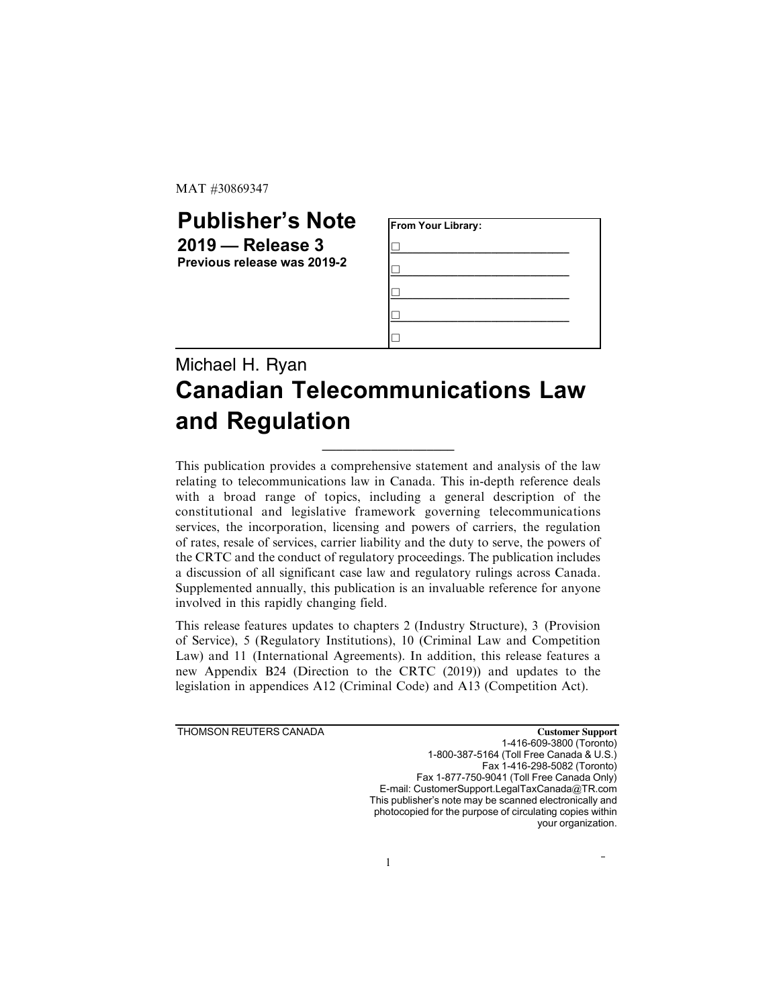MAT #30869347

## Publisher's Note 2019 — Release 3 Previous release was 2019-2

| From Your Library: |  |
|--------------------|--|
|                    |  |
|                    |  |
|                    |  |
|                    |  |
|                    |  |

## Michael H. Ryan Canadian Telecommunications Law and Regulation

\_\_\_\_\_\_\_\_\_\_\_\_\_\_\_\_\_\_\_

This publication provides a comprehensive statement and analysis of the law relating to telecommunications law in Canada. This in-depth reference deals with a broad range of topics, including a general description of the constitutional and legislative framework governing telecommunications services, the incorporation, licensing and powers of carriers, the regulation of rates, resale of services, carrier liability and the duty to serve, the powers of the CRTC and the conduct of regulatory proceedings. The publication includes a discussion of all significant case law and regulatory rulings across Canada. Supplemented annually, this publication is an invaluable reference for anyone involved in this rapidly changing field.

This release features updates to chapters 2 (Industry Structure), 3 (Provision of Service), 5 (Regulatory Institutions), 10 (Criminal Law and Competition Law) and 11 (International Agreements). In addition, this release features a new Appendix B24 (Direction to the CRTC (2019)) and updates to the legislation in appendices A12 (Criminal Code) and A13 (Competition Act).

THOMSON REUTERS CANADA **Customer Support** 1-416-609-3800 (Toronto) 1-800-387-5164 (Toll Free Canada & U.S.) Fax 1-416-298-5082 (Toronto) Fax 1-877-750-9041 (Toll Free Canada Only) E-mail: CustomerSupport.LegalTaxCanada@TR.com This publisher's note may be scanned electronically and photocopied for the purpose of circulating copies within your organization.